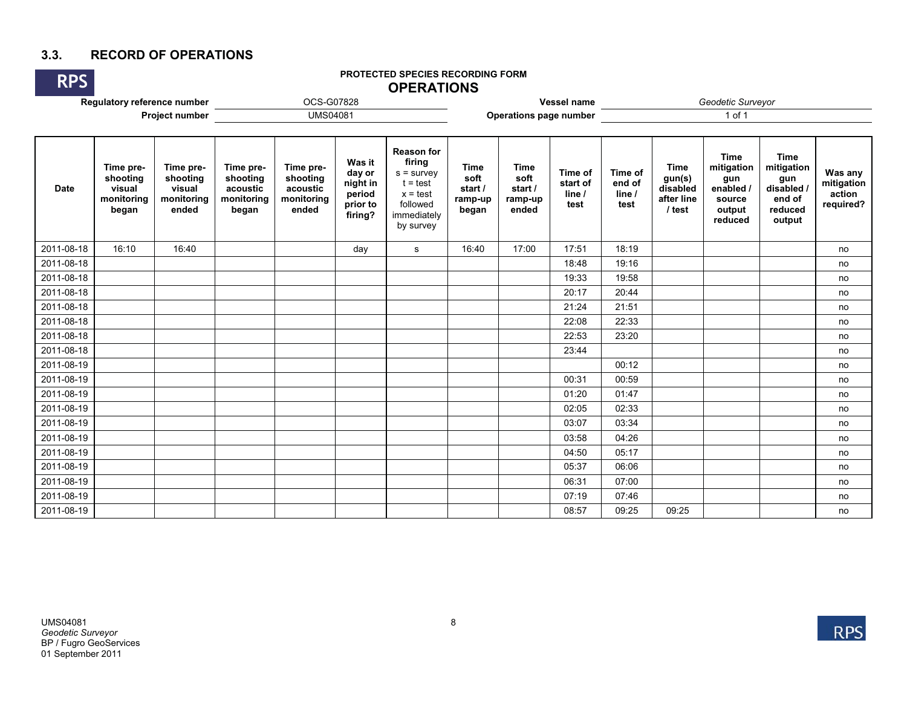# **3.3. RECORD OF OPERATIONS**

#### **PROTECTED SPECIES RECORDING FORM OPERATIONS**

| <b>RPS</b>                  |                                                        |                                                        |                                                          |                                                          |                                                               | PROTECTED SPECIES RECORDING FORM<br><b>OPERATIONS</b>                                                           |                                             |                                                    |                                       |                                     |                                                           |                                                                            |                                                                               |                                              |
|-----------------------------|--------------------------------------------------------|--------------------------------------------------------|----------------------------------------------------------|----------------------------------------------------------|---------------------------------------------------------------|-----------------------------------------------------------------------------------------------------------------|---------------------------------------------|----------------------------------------------------|---------------------------------------|-------------------------------------|-----------------------------------------------------------|----------------------------------------------------------------------------|-------------------------------------------------------------------------------|----------------------------------------------|
| Regulatory reference number |                                                        |                                                        | Vessel name<br>Operations page number                    |                                                          |                                                               | Geodetic Surveyor<br>1 of 1                                                                                     |                                             |                                                    |                                       |                                     |                                                           |                                                                            |                                                                               |                                              |
| Project number              |                                                        | OCS-G07828<br><b>UMS04081</b>                          |                                                          |                                                          |                                                               |                                                                                                                 |                                             |                                                    |                                       |                                     |                                                           |                                                                            |                                                                               |                                              |
|                             |                                                        |                                                        |                                                          |                                                          |                                                               |                                                                                                                 |                                             |                                                    |                                       |                                     |                                                           |                                                                            |                                                                               |                                              |
| <b>Date</b>                 | Time pre-<br>shooting<br>visual<br>monitoring<br>began | Time pre-<br>shooting<br>visual<br>monitoring<br>ended | Time pre-<br>shooting<br>acoustic<br>monitoring<br>began | Time pre-<br>shooting<br>acoustic<br>monitoring<br>ended | Was it<br>day or<br>night in<br>period<br>prior to<br>firing? | <b>Reason for</b><br>firing<br>$s =$ survey<br>$t = test$<br>$x = test$<br>followed<br>immediately<br>by survey | Time<br>soft<br>start /<br>ramp-up<br>began | <b>Time</b><br>soft<br>start /<br>ramp-up<br>ended | Time of<br>start of<br>line /<br>test | Time of<br>end of<br>line /<br>test | <b>Time</b><br>gun(s)<br>disabled<br>after line<br>/ test | <b>Time</b><br>mitigation<br>gun<br>enabled<br>source<br>output<br>reduced | <b>Time</b><br>mitigation<br>gun<br>disabled /<br>end of<br>reduced<br>output | Was any<br>mitigation<br>action<br>required? |
| 2011-08-18                  | 16:10                                                  | 16:40                                                  |                                                          |                                                          | day                                                           | ${\tt S}$                                                                                                       | 16:40                                       | 17:00                                              | 17:51                                 | 18:19                               |                                                           |                                                                            |                                                                               | no                                           |
| 2011-08-18                  |                                                        |                                                        |                                                          |                                                          |                                                               |                                                                                                                 |                                             |                                                    | 18:48                                 | 19:16                               |                                                           |                                                                            |                                                                               | no                                           |
| 2011-08-18                  |                                                        |                                                        |                                                          |                                                          |                                                               |                                                                                                                 |                                             |                                                    | 19:33                                 | 19:58                               |                                                           |                                                                            |                                                                               | no                                           |
| 2011-08-18                  |                                                        |                                                        |                                                          |                                                          |                                                               |                                                                                                                 |                                             |                                                    | 20:17                                 | 20:44                               |                                                           |                                                                            |                                                                               | no                                           |
| 2011-08-18                  |                                                        |                                                        |                                                          |                                                          |                                                               |                                                                                                                 |                                             |                                                    | 21:24                                 | 21:51                               |                                                           |                                                                            |                                                                               | no                                           |
| 2011-08-18                  |                                                        |                                                        |                                                          |                                                          |                                                               |                                                                                                                 |                                             |                                                    | 22:08                                 | 22:33                               |                                                           |                                                                            |                                                                               | no                                           |
| 2011-08-18                  |                                                        |                                                        |                                                          |                                                          |                                                               |                                                                                                                 |                                             |                                                    | 22:53                                 | 23:20                               |                                                           |                                                                            |                                                                               | no                                           |
| 2011-08-18                  |                                                        |                                                        |                                                          |                                                          |                                                               |                                                                                                                 |                                             |                                                    | 23:44                                 |                                     |                                                           |                                                                            |                                                                               | no                                           |
| 2011-08-19                  |                                                        |                                                        |                                                          |                                                          |                                                               |                                                                                                                 |                                             |                                                    |                                       | 00:12                               |                                                           |                                                                            |                                                                               | no                                           |
| 2011-08-19                  |                                                        |                                                        |                                                          |                                                          |                                                               |                                                                                                                 |                                             |                                                    | 00:31                                 | 00:59                               |                                                           |                                                                            |                                                                               | no                                           |
| 2011-08-19                  |                                                        |                                                        |                                                          |                                                          |                                                               |                                                                                                                 |                                             |                                                    | 01:20                                 | 01:47                               |                                                           |                                                                            |                                                                               | no                                           |
| 2011-08-19                  |                                                        |                                                        |                                                          |                                                          |                                                               |                                                                                                                 |                                             |                                                    | 02:05                                 | 02:33                               |                                                           |                                                                            |                                                                               | no                                           |
| 2011-08-19                  |                                                        |                                                        |                                                          |                                                          |                                                               |                                                                                                                 |                                             |                                                    | 03:07                                 | 03:34                               |                                                           |                                                                            |                                                                               | no                                           |
| 2011-08-19                  |                                                        |                                                        |                                                          |                                                          |                                                               |                                                                                                                 |                                             |                                                    | 03:58                                 | 04:26                               |                                                           |                                                                            |                                                                               | no                                           |
| 2011-08-19                  |                                                        |                                                        |                                                          |                                                          |                                                               |                                                                                                                 |                                             |                                                    | 04:50                                 | 05:17                               |                                                           |                                                                            |                                                                               | no                                           |
| 2011-08-19                  |                                                        |                                                        |                                                          |                                                          |                                                               |                                                                                                                 |                                             |                                                    | 05:37                                 | 06:06                               |                                                           |                                                                            |                                                                               | no                                           |
| 2011-08-19                  |                                                        |                                                        |                                                          |                                                          |                                                               |                                                                                                                 |                                             |                                                    | 06:31                                 | 07:00                               |                                                           |                                                                            |                                                                               | no                                           |
| 2011-08-19                  |                                                        |                                                        |                                                          |                                                          |                                                               |                                                                                                                 |                                             |                                                    | 07:19                                 | 07:46                               |                                                           |                                                                            |                                                                               | no                                           |
| 2011-08-19                  |                                                        |                                                        |                                                          |                                                          |                                                               |                                                                                                                 |                                             |                                                    | 08:57                                 | 09:25                               | 09:25                                                     |                                                                            |                                                                               | no                                           |

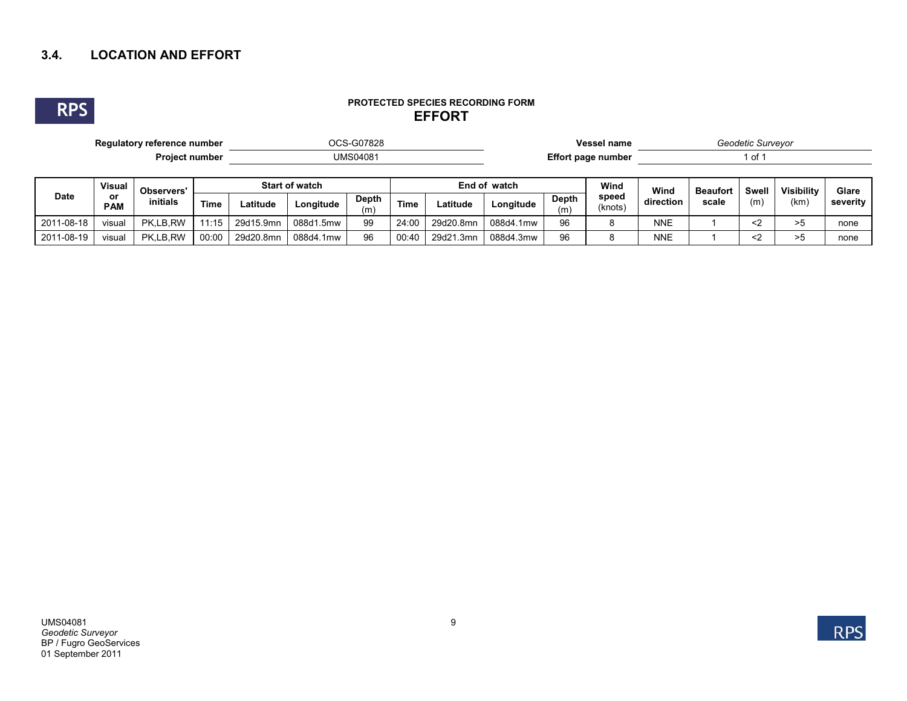# **3.4. LOCATION AND EFFORT**



#### **PROTECTED SPECIES RECORDING FORM EFFORT**

| Regulatory reference number |                                   |                        |             | OCS-G07828     |           |              |             |              |                    |                     | <b>Vessel name</b>            | Geodetic Surveyor |                 |       |                   |       |
|-----------------------------|-----------------------------------|------------------------|-------------|----------------|-----------|--------------|-------------|--------------|--------------------|---------------------|-------------------------------|-------------------|-----------------|-------|-------------------|-------|
|                             |                                   | <b>Project number</b>  |             | UMS04081       |           |              |             |              | Effort page number |                     |                               | 1 of 1            |                 |       |                   |       |
| <b>Date</b>                 | <b>Visual</b><br>or<br><b>PAM</b> | Observers'<br>initials |             | Start of watch |           |              |             | End of watch |                    |                     | Wind                          | Wind              | <b>Beaufort</b> | Swell | <b>Visibility</b> | Glare |
|                             |                                   |                        | <b>Time</b> | Latitude       | Lonaitude | Depth<br>(m) | <b>Time</b> | Latitude     | Lonaitude          | <b>Depth</b><br>(m) | speed<br>direction<br>(knots) | scale             | (m)             | (km)  | severity          |       |
| 2011-08-18                  | visual                            | PK.LB.RW               | 11:15       | 29d15.9mn      | 088d1.5mw | 99           | 24:00       | 29d20.8mn    | 088d4.1mw          | 96                  |                               | <b>NNE</b>        |                 | $2$   | >5                | none  |
| 2011-08-19                  | visual                            | PK.LB.RW               | 00:00       | 29d20.8mn      | 088d4.1mw | 96           | 00:40       | 29d21.3mn    | 088d4.3mw          | 96                  |                               | <b>NNE</b>        |                 | $2$   | >5                | none  |